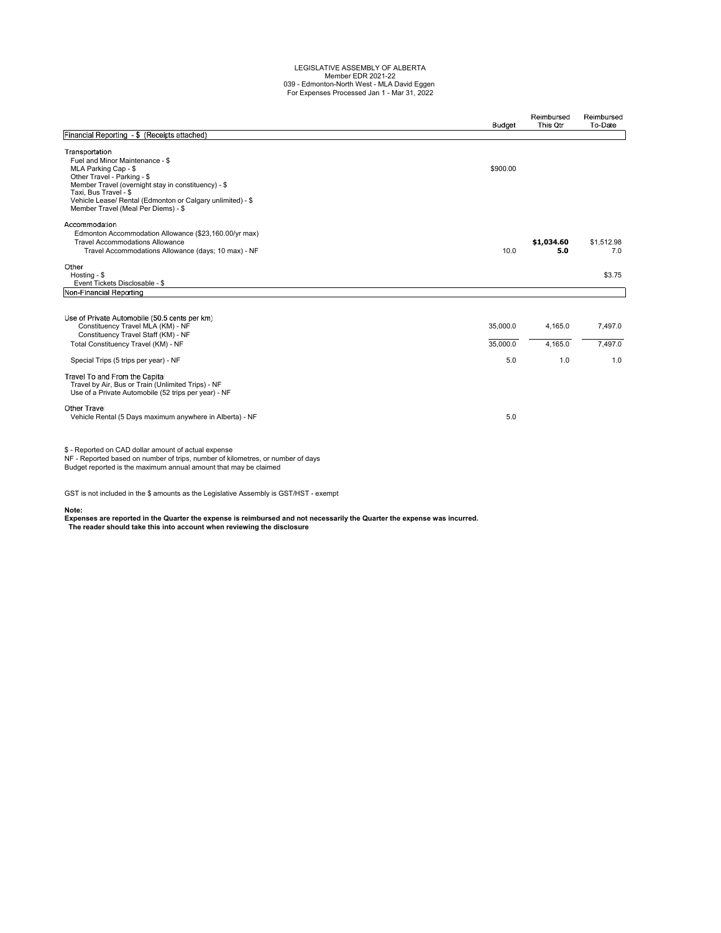# LEGISLATIVE ASSEMBLY OF ALBERTA Member EDR 2021-22 039 - Edmonton-North West - MLA David Eggen For Expenses Processed Jan 1 - Mar 31, 2022

|                                                                                                                                                                                                                                                                                               | <b>Budget</b>        | Reimbursed<br>This Otr | Reimbursed<br>To-Date |
|-----------------------------------------------------------------------------------------------------------------------------------------------------------------------------------------------------------------------------------------------------------------------------------------------|----------------------|------------------------|-----------------------|
| Financial Reporting - \$ (Receipts attached)                                                                                                                                                                                                                                                  |                      |                        |                       |
| Transportation<br>Fuel and Minor Maintenance - \$<br>MLA Parking Cap - \$<br>Other Travel - Parking - \$<br>Member Travel (overnight stay in constituency) - \$<br>Taxi, Bus Travel - \$<br>Vehicle Lease/ Rental (Edmonton or Calgary unlimited) - \$<br>Member Travel (Meal Per Diems) - \$ | \$900.00             |                        |                       |
| Accommodation<br>Edmonton Accommodation Allowance (\$23,160.00/yr max)<br><b>Travel Accommodations Allowance</b><br>Travel Accommodations Allowance (days; 10 max) - NF                                                                                                                       | 10.0                 | \$1,034.60<br>5.0      | \$1,512.98<br>7.0     |
| Other<br>Hosting - \$<br>Event Tickets Disclosable - \$                                                                                                                                                                                                                                       |                      |                        | \$3.75                |
| Non-Financial Reporting                                                                                                                                                                                                                                                                       |                      |                        |                       |
| Use of Private Automobile (50.5 cents per km)<br>Constituency Travel MLA (KM) - NF<br>Constituency Travel Staff (KM) - NF<br>Total Constituency Travel (KM) - NF                                                                                                                              | 35,000.0<br>35,000.0 | 4,165.0<br>4.165.0     | 7,497.0<br>7.497.0    |
| Special Trips (5 trips per year) - NF                                                                                                                                                                                                                                                         | 5.0                  | 1.0                    | 1.0                   |
| Travel To and From the Capital<br>Travel by Air, Bus or Train (Unlimited Trips) - NF<br>Use of a Private Automobile (52 trips per year) - NF                                                                                                                                                  |                      |                        |                       |
| Other Travel<br>Vehicle Rental (5 Days maximum anywhere in Alberta) - NF                                                                                                                                                                                                                      | 5.0                  |                        |                       |
| \$ - Reported on CAD dollar amount of actual expense<br>NF - Reported based on number of trips, number of kilometres, or number of days<br>Budget reported is the maximum annual amount that may be claimed                                                                                   |                      |                        |                       |

GST is not included in the \$ amounts as the Legislative Assembly is GST/HST - exempt

**Note:**

**Expenses are reported in the Quarter the expense is reimbursed and not necessarily the Quarter the expense was incurred. The reader should take this into account when reviewing the disclosure**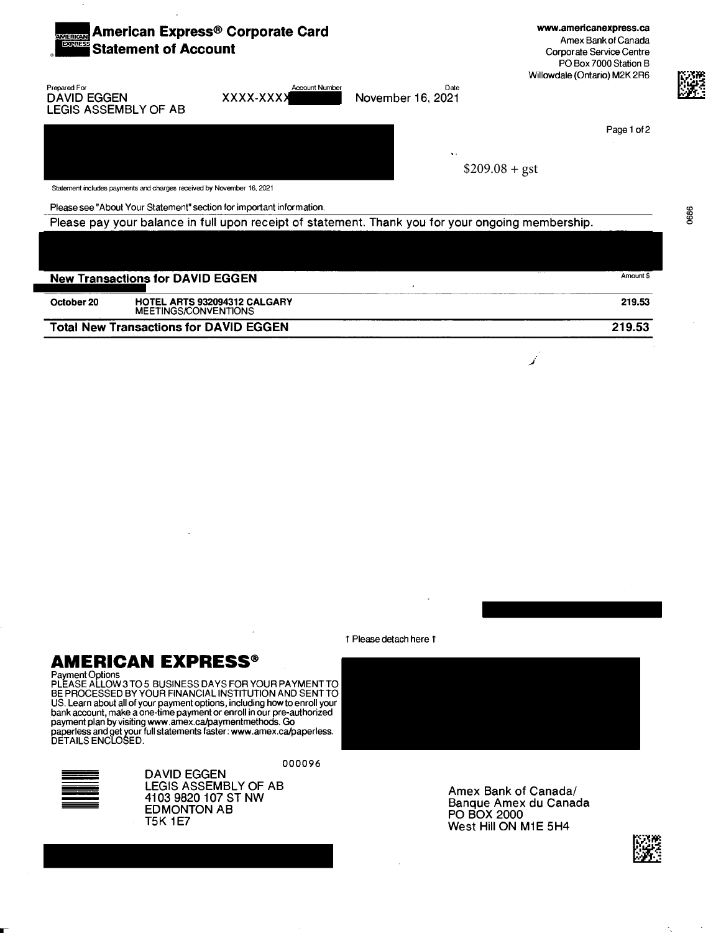

**Total New Transactions for DAVID EGGEN** 

1 Please detach here 1

#### AMERICAN EXPRESS®

Payment Options<br>PLEASE ALLOW 3 TO 5 BUSINESS DAYS FOR YOUR PAYMENT TO BE PROCESSED BY YOUR FINANCIAL INSTITUTION AND SENT TO US. Learn about all of your payment options, including how to enroll your bank account, make a one-time payment or enroll in our pre-authorized payment plan by visiting www.amex.ca/paymentmethods. Go<br>paperless and get your full statements faster: www.amex.ca/paperless.<br>DETAILS ENCLOSED.



000096 **DAVID EGGEN** LEGIS ASSEMBLY OF AB 4103 9820 107 ST NW **EDMONTON AB T5K 1E7** 

Amex Bank of Canada/ Banque Amex du Canada **PO BOX 2000** West Hill ON M1E 5H4



t,

219.53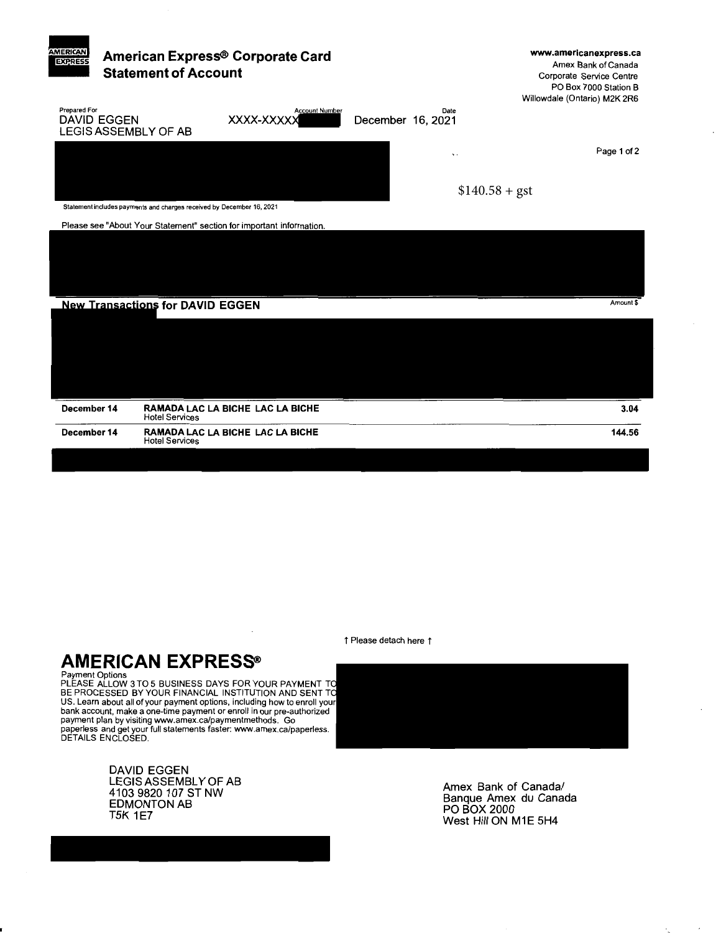

↑ Please detach here ↑

### **AMERICAN EXPRESS®**

Payment Options<br>PLEASE ALLOW 3 TO 5 BUSINESS DAYS FOR YOUR PAYMENT TO<br>BE PROCESSED BY YOUR FINANCIAL INSTITUTION AND SENT TO US. Learn about all of your payment options, including how to enroll your bank account, make a one-time payment or enroll in our pre-authorized payment plan by visiting www.amex.ca/paymentmethods. Go<br>paperless and get your full statements faster: www.amex.ca/paperless.<br>DETAILS ENCLOSED.

> DAVID EGGEN LEGIS ASSEMBLY OF AB 4103 9820 107 ST NW **EDMONTON AB T5K 1E7**



Amex Bank of Canada/ Banque Amex du Canada PO BOX 2000 West Hill ON M1E 5H4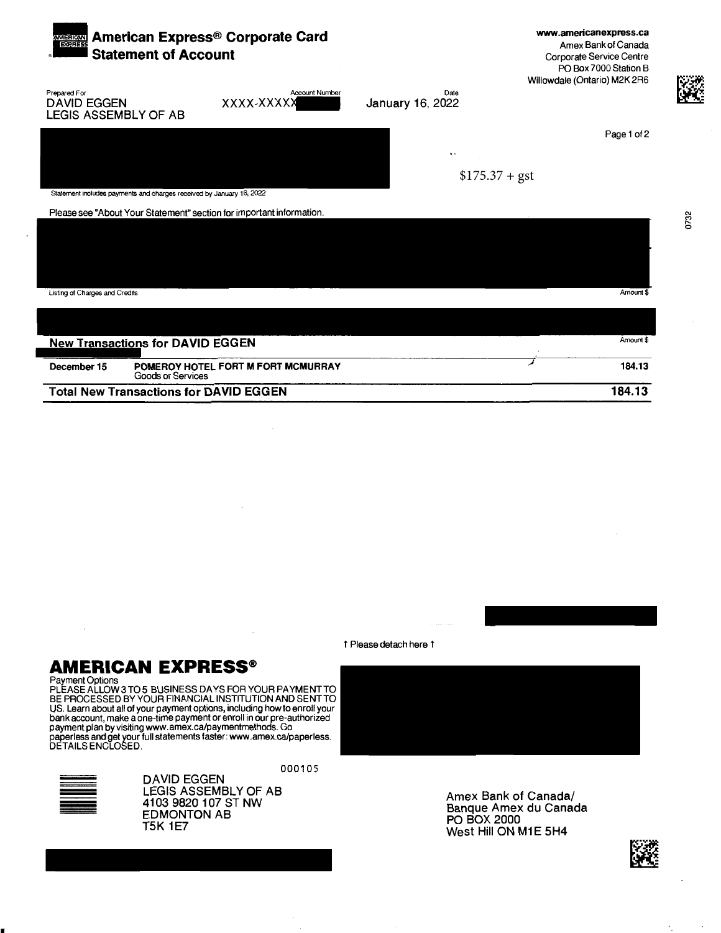| American Express® Corporate Card<br><b>AMERICAN</b><br>EXPERESS<br><b>Statement of Account</b> |                                                                      |                                                                      |                          | www.americanexpress.ca<br>Amex Bank of Canada<br>Corporate Service Centre<br>PO Box 7000 Station B<br>Willowdale (Ontario) M2K 2R6 |
|------------------------------------------------------------------------------------------------|----------------------------------------------------------------------|----------------------------------------------------------------------|--------------------------|------------------------------------------------------------------------------------------------------------------------------------|
| Prepared For<br><b>DAVID EGGEN</b><br>LEGIS ASSEMBLY OF AB                                     |                                                                      | <b>Account Number</b><br>XXXX-XXXXX                                  | Date<br>January 16, 2022 |                                                                                                                                    |
|                                                                                                |                                                                      |                                                                      |                          | Page 1 of 2                                                                                                                        |
|                                                                                                |                                                                      |                                                                      | $\bullet$ $\bullet$      |                                                                                                                                    |
|                                                                                                |                                                                      |                                                                      |                          | $$175.37 + gst$                                                                                                                    |
|                                                                                                | Statement includes payments and charges received by January 16, 2022 |                                                                      |                          |                                                                                                                                    |
|                                                                                                |                                                                      | Please see "About Your Statement" section for important information. |                          |                                                                                                                                    |
|                                                                                                |                                                                      |                                                                      |                          |                                                                                                                                    |
| Listing of Charges and Credits                                                                 |                                                                      |                                                                      |                          | Amount 9                                                                                                                           |
|                                                                                                |                                                                      |                                                                      |                          |                                                                                                                                    |
|                                                                                                | <b>New Transactions for DAVID EGGEN</b>                              |                                                                      |                          | Amount \$                                                                                                                          |
| December 15                                                                                    | <b>Goods or Services</b>                                             | POMEROY HOTEL FORT M FORT MCMURRAY                                   |                          | 184.13                                                                                                                             |
|                                                                                                |                                                                      | <b>Total New Transactions for DAVID EGGEN</b>                        |                          | 184.13                                                                                                                             |

1 Please detach here 1

# **AMERICAN EXPRESS®**

**EXAMPLE CONSTRAIN LATE AND SEX PRESS DE THE SUBSEM PAYMENT TO PLEASE ALLOWS TO 5 BUSINESS DAYS FOR YOUR PAYMENT TO BE PROCESSED BY YOUR FINANCIAL INSTITUTION AND SENT TO US. Learn about all of your payment options, includ** 



000105 **DAVID EGGEN** LEGIS ASSEMBLY OF AB<br>4103 9820 107 ST NW **EDMONTON AB T5K 1E7** 

Amex Bank of Canada/ Banque Amex du Canada<br>PO BOX 2000 West Hill ON M1E 5H4



 $\overline{\phantom{a}}$ 

0732